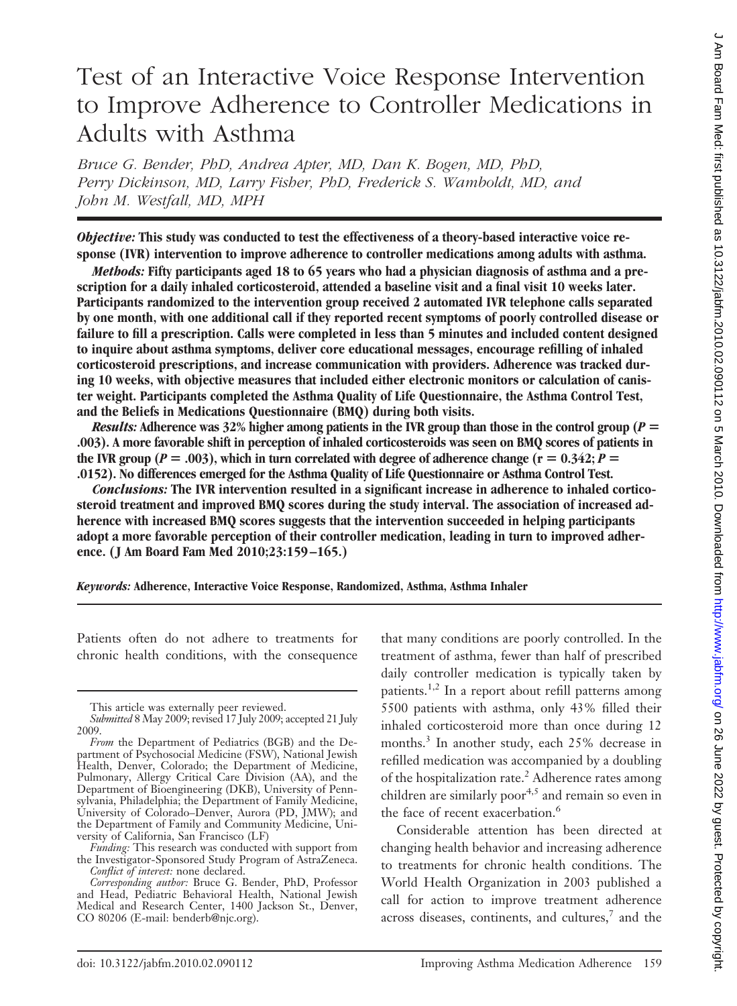# Test of an Interactive Voice Response Intervention to Improve Adherence to Controller Medications in Adults with Asthma

*Bruce G. Bender, PhD, Andrea Apter, MD, Dan K. Bogen, MD, PhD, Perry Dickinson, MD, Larry Fisher, PhD, Frederick S. Wamboldt, MD, and John M. Westfall, MD, MPH*

*Objective:* **This study was conducted to test the effectiveness of a theory-based interactive voice response (IVR) intervention to improve adherence to controller medications among adults with asthma.**

*Methods:* **Fifty participants aged 18 to 65 years who had a physician diagnosis of asthma and a prescription for a daily inhaled corticosteroid, attended a baseline visit and a final visit 10 weeks later. Participants randomized to the intervention group received 2 automated IVR telephone calls separated by one month, with one additional call if they reported recent symptoms of poorly controlled disease or failure to fill a prescription. Calls were completed in less than 5 minutes and included content designed to inquire about asthma symptoms, deliver core educational messages, encourage refilling of inhaled corticosteroid prescriptions, and increase communication with providers. Adherence was tracked during 10 weeks, with objective measures that included either electronic monitors or calculation of canister weight. Participants completed the Asthma Quality of Life Questionnaire, the Asthma Control Test, and the Beliefs in Medications Questionnaire (BMQ) during both visits.**

*Results:* Adherence was  $32\%$  higher among patients in the IVR group than those in the control group ( $P =$ **.003). A more favorable shift in perception of inhaled corticosteroids was seen on BMQ scores of patients in** the IVR group ( $P = .003$ ), which in turn correlated with degree of adherence change ( $r = 0.342$ ;  $P =$ **.0152). No differences emerged for the Asthma Quality of Life Questionnaire or Asthma Control Test.**

*Conclusions:* **The IVR intervention resulted in a significant increase in adherence to inhaled corticosteroid treatment and improved BMQ scores during the study interval. The association of increased adherence with increased BMQ scores suggests that the intervention succeeded in helping participants adopt a more favorable perception of their controller medication, leading in turn to improved adherence. ( J Am Board Fam Med 2010;23:159 –165.)**

*Keywords:* **Adherence, Interactive Voice Response, Randomized, Asthma, Asthma Inhaler**

Patients often do not adhere to treatments for chronic health conditions, with the consequence that many conditions are poorly controlled. In the treatment of asthma, fewer than half of prescribed daily controller medication is typically taken by patients.1,2 In a report about refill patterns among 5500 patients with asthma, only 43% filled their inhaled corticosteroid more than once during 12 months.<sup>3</sup> In another study, each 25% decrease in refilled medication was accompanied by a doubling of the hospitalization rate.<sup>2</sup> Adherence rates among children are similarly poor<sup>4,5</sup> and remain so even in the face of recent exacerbation.<sup>6</sup>

Considerable attention has been directed at changing health behavior and increasing adherence to treatments for chronic health conditions. The World Health Organization in 2003 published a call for action to improve treatment adherence across diseases, continents, and cultures, $<sup>7</sup>$  and the</sup>

This article was externally peer reviewed.

*Submitted* 8 May 2009; revised 17 July 2009; accepted 21 July 2009.

*From* the Department of Pediatrics (BGB) and the Department of Psychosocial Medicine (FSW), National Jewish Health, Denver, Colorado; the Department of Medicine, Pulmonary, Allergy Critical Care Division (AA), and the Department of Bioengineering (DKB), University of Pennsylvania, Philadelphia; the Department of Family Medicine, University of Colorado–Denver, Aurora (PD, JMW); and the Department of Family and Community Medicine, University of California, San Francisco (LF)

*Funding:* This research was conducted with support from the Investigator-Sponsored Study Program of AstraZeneca. *Conflict of interest:* none declared.

*Corresponding author:* Bruce G. Bender, PhD, Professor and Head, Pediatric Behavioral Health, National Jewish Medical and Research Center, 1400 Jackson St., Denver, CO 80206 (E-mail: benderb@njc.org).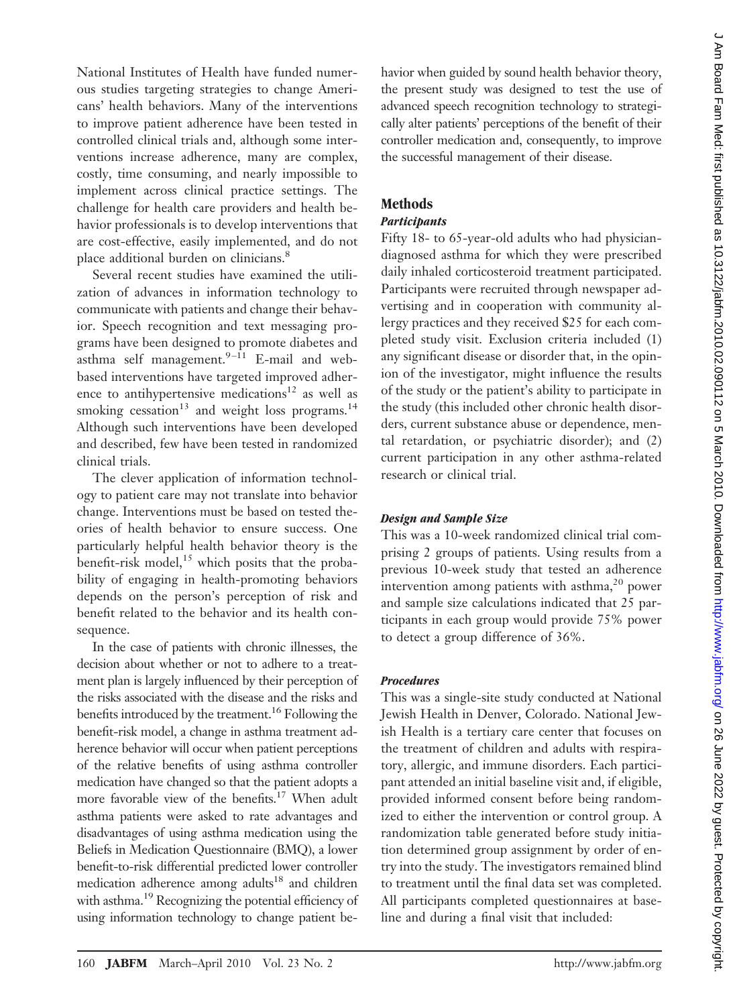havior when guided by sound health behavior theory, the present study was designed to test the use of advanced speech recognition technology to strategically alter patients' perceptions of the benefit of their controller medication and, consequently, to improve the successful management of their disease.

# **Methods**

## *Participants*

Fifty 18- to 65-year-old adults who had physiciandiagnosed asthma for which they were prescribed daily inhaled corticosteroid treatment participated. Participants were recruited through newspaper advertising and in cooperation with community allergy practices and they received \$25 for each completed study visit. Exclusion criteria included (1) any significant disease or disorder that, in the opinion of the investigator, might influence the results of the study or the patient's ability to participate in the study (this included other chronic health disorders, current substance abuse or dependence, mental retardation, or psychiatric disorder); and (2) current participation in any other asthma-related research or clinical trial.

# *Design and Sample Size*

This was a 10-week randomized clinical trial comprising 2 groups of patients. Using results from a previous 10-week study that tested an adherence intervention among patients with asthma,<sup>20</sup> power and sample size calculations indicated that 25 participants in each group would provide 75% power to detect a group difference of 36%.

# *Procedures*

This was a single-site study conducted at National Jewish Health in Denver, Colorado. National Jewish Health is a tertiary care center that focuses on the treatment of children and adults with respiratory, allergic, and immune disorders. Each participant attended an initial baseline visit and, if eligible, provided informed consent before being randomized to either the intervention or control group. A randomization table generated before study initiation determined group assignment by order of entry into the study. The investigators remained blind to treatment until the final data set was completed. All participants completed questionnaires at baseline and during a final visit that included:

National Institutes of Health have funded numerous studies targeting strategies to change Americans' health behaviors. Many of the interventions to improve patient adherence have been tested in controlled clinical trials and, although some interventions increase adherence, many are complex, costly, time consuming, and nearly impossible to implement across clinical practice settings. The challenge for health care providers and health behavior professionals is to develop interventions that are cost-effective, easily implemented, and do not place additional burden on clinicians.8

Several recent studies have examined the utilization of advances in information technology to communicate with patients and change their behavior. Speech recognition and text messaging programs have been designed to promote diabetes and asthma self management. $9-11}$  E-mail and webbased interventions have targeted improved adherence to antihypertensive medications<sup>12</sup> as well as smoking cessation<sup>13</sup> and weight loss programs.<sup>14</sup> Although such interventions have been developed and described, few have been tested in randomized clinical trials.

The clever application of information technology to patient care may not translate into behavior change. Interventions must be based on tested theories of health behavior to ensure success. One particularly helpful health behavior theory is the benefit-risk model, $^{15}$  which posits that the probability of engaging in health-promoting behaviors depends on the person's perception of risk and benefit related to the behavior and its health consequence.

In the case of patients with chronic illnesses, the decision about whether or not to adhere to a treatment plan is largely influenced by their perception of the risks associated with the disease and the risks and benefits introduced by the treatment.<sup>16</sup> Following the benefit-risk model, a change in asthma treatment adherence behavior will occur when patient perceptions of the relative benefits of using asthma controller medication have changed so that the patient adopts a more favorable view of the benefits.<sup>17</sup> When adult asthma patients were asked to rate advantages and disadvantages of using asthma medication using the Beliefs in Medication Questionnaire (BMQ), a lower benefit-to-risk differential predicted lower controller medication adherence among adults<sup>18</sup> and children with asthma.<sup>19</sup> Recognizing the potential efficiency of using information technology to change patient be-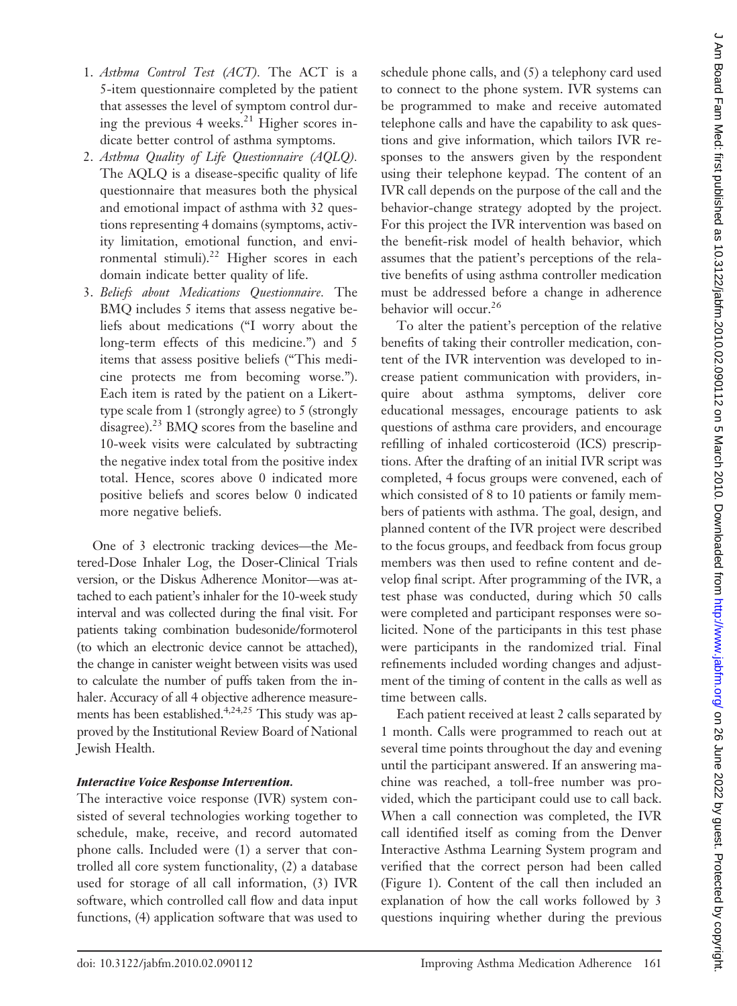- 1. *Asthma Control Test (ACT).* The ACT is a 5-item questionnaire completed by the patient that assesses the level of symptom control during the previous 4 weeks.<sup>21</sup> Higher scores indicate better control of asthma symptoms.
- 2. *Asthma Quality of Life Questionnaire (AQLQ).* The AQLQ is a disease-specific quality of life questionnaire that measures both the physical and emotional impact of asthma with 32 questions representing 4 domains (symptoms, activity limitation, emotional function, and environmental stimuli).<sup>22</sup> Higher scores in each domain indicate better quality of life.
- 3. *Beliefs about Medications Questionnaire.* The BMQ includes 5 items that assess negative beliefs about medications ("I worry about the long-term effects of this medicine.") and 5 items that assess positive beliefs ("This medicine protects me from becoming worse."). Each item is rated by the patient on a Likerttype scale from 1 (strongly agree) to 5 (strongly disagree).<sup>23</sup> BMQ scores from the baseline and 10-week visits were calculated by subtracting the negative index total from the positive index total. Hence, scores above 0 indicated more positive beliefs and scores below 0 indicated more negative beliefs.

One of 3 electronic tracking devices—the Metered-Dose Inhaler Log, the Doser-Clinical Trials version, or the Diskus Adherence Monitor—was attached to each patient's inhaler for the 10-week study interval and was collected during the final visit. For patients taking combination budesonide/formoterol (to which an electronic device cannot be attached), the change in canister weight between visits was used to calculate the number of puffs taken from the inhaler. Accuracy of all 4 objective adherence measurements has been established.<sup>4,24,25</sup> This study was approved by the Institutional Review Board of National Jewish Health.

#### *Interactive Voice Response Intervention.*

The interactive voice response (IVR) system consisted of several technologies working together to schedule, make, receive, and record automated phone calls. Included were (1) a server that controlled all core system functionality, (2) a database used for storage of all call information, (3) IVR software, which controlled call flow and data input functions, (4) application software that was used to

schedule phone calls, and (5) a telephony card used to connect to the phone system. IVR systems can be programmed to make and receive automated telephone calls and have the capability to ask questions and give information, which tailors IVR responses to the answers given by the respondent using their telephone keypad. The content of an IVR call depends on the purpose of the call and the behavior-change strategy adopted by the project. For this project the IVR intervention was based on the benefit-risk model of health behavior, which assumes that the patient's perceptions of the relative benefits of using asthma controller medication must be addressed before a change in adherence behavior will occur.26

To alter the patient's perception of the relative benefits of taking their controller medication, content of the IVR intervention was developed to increase patient communication with providers, inquire about asthma symptoms, deliver core educational messages, encourage patients to ask questions of asthma care providers, and encourage refilling of inhaled corticosteroid (ICS) prescriptions. After the drafting of an initial IVR script was completed, 4 focus groups were convened, each of which consisted of 8 to 10 patients or family members of patients with asthma. The goal, design, and planned content of the IVR project were described to the focus groups, and feedback from focus group members was then used to refine content and develop final script. After programming of the IVR, a test phase was conducted, during which 50 calls were completed and participant responses were solicited. None of the participants in this test phase were participants in the randomized trial. Final refinements included wording changes and adjustment of the timing of content in the calls as well as time between calls.

Each patient received at least 2 calls separated by 1 month. Calls were programmed to reach out at several time points throughout the day and evening until the participant answered. If an answering machine was reached, a toll-free number was provided, which the participant could use to call back. When a call connection was completed, the IVR call identified itself as coming from the Denver Interactive Asthma Learning System program and verified that the correct person had been called (Figure 1). Content of the call then included an explanation of how the call works followed by 3 questions inquiring whether during the previous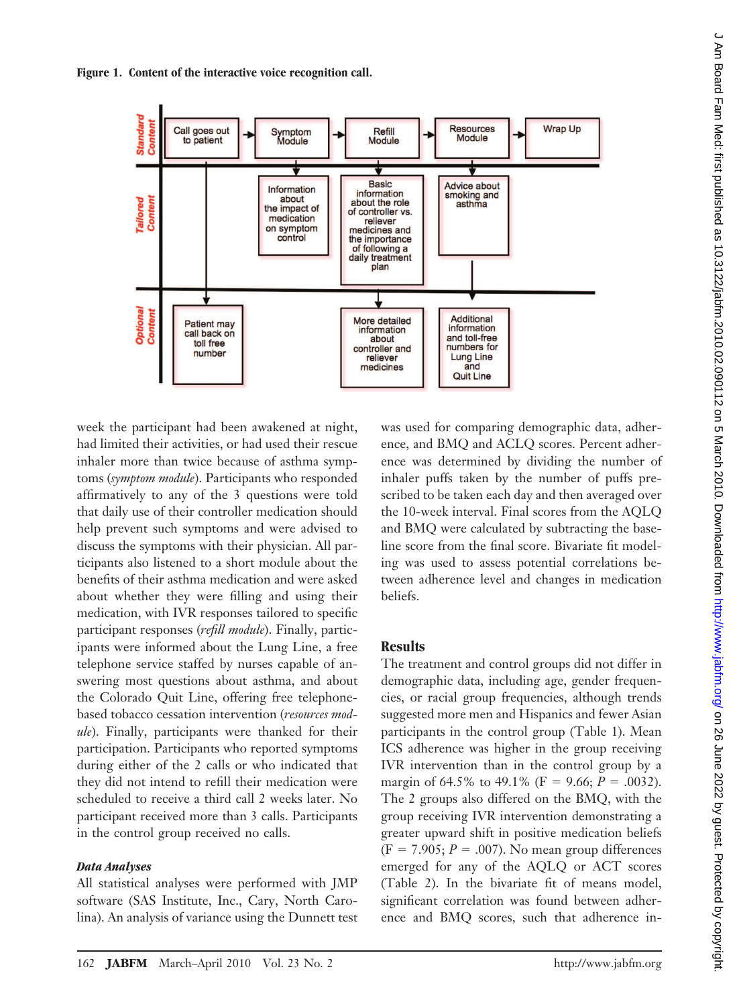



week the participant had been awakened at night, had limited their activities, or had used their rescue inhaler more than twice because of asthma symptoms (*symptom module*). Participants who responded affirmatively to any of the 3 questions were told that daily use of their controller medication should help prevent such symptoms and were advised to discuss the symptoms with their physician. All participants also listened to a short module about the benefits of their asthma medication and were asked about whether they were filling and using their medication, with IVR responses tailored to specific participant responses (*refill module*). Finally, participants were informed about the Lung Line, a free telephone service staffed by nurses capable of answering most questions about asthma, and about the Colorado Quit Line, offering free telephonebased tobacco cessation intervention (*resources module*). Finally, participants were thanked for their participation. Participants who reported symptoms during either of the 2 calls or who indicated that they did not intend to refill their medication were scheduled to receive a third call 2 weeks later. No participant received more than 3 calls. Participants in the control group received no calls.

#### *Data Analyses*

All statistical analyses were performed with JMP software (SAS Institute, Inc., Cary, North Carolina). An analysis of variance using the Dunnett test was used for comparing demographic data, adherence, and BMQ and ACLQ scores. Percent adherence was determined by dividing the number of inhaler puffs taken by the number of puffs prescribed to be taken each day and then averaged over the 10-week interval. Final scores from the AQLQ and BMQ were calculated by subtracting the baseline score from the final score. Bivariate fit modeling was used to assess potential correlations between adherence level and changes in medication beliefs.

#### **Results**

The treatment and control groups did not differ in demographic data, including age, gender frequencies, or racial group frequencies, although trends suggested more men and Hispanics and fewer Asian participants in the control group (Table 1). Mean ICS adherence was higher in the group receiving IVR intervention than in the control group by a margin of 64.5% to 49.1% ( $F = 9.66$ ;  $P = .0032$ ). The 2 groups also differed on the BMQ, with the group receiving IVR intervention demonstrating a greater upward shift in positive medication beliefs  $(F = 7.905; P = .007)$ . No mean group differences emerged for any of the AQLQ or ACT scores (Table 2). In the bivariate fit of means model, significant correlation was found between adherence and BMQ scores, such that adherence in-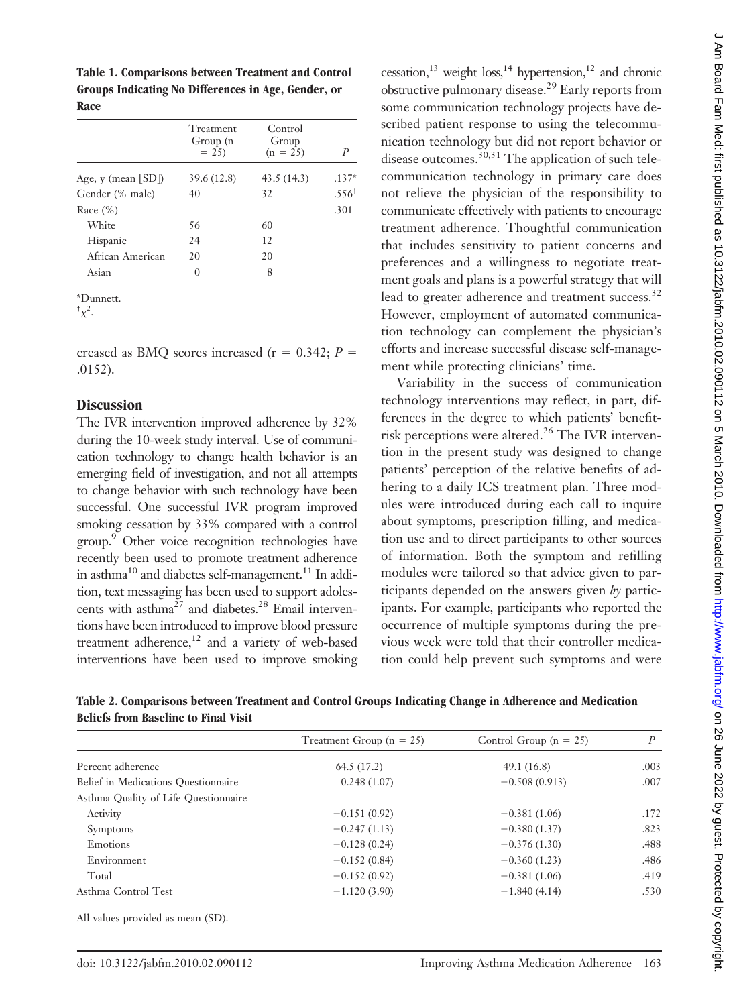| Table 1. Comparisons between Treatment and Control  |
|-----------------------------------------------------|
| Groups Indicating No Differences in Age, Gender, or |
| Race                                                |

|                         | Treatment<br>Group (n<br>$= 25$ | Control<br>Group<br>$(n = 25)$ | P                 |
|-------------------------|---------------------------------|--------------------------------|-------------------|
| Age, $y$ (mean $[SD]$ ) | 39.6 (12.8)                     | 43.5(14.3)                     | $.137*$           |
| Gender (% male)         | 40                              | 32                             | .556 <sup>†</sup> |
| Race $(\%)$             |                                 |                                | .301              |
| White                   | 56                              | 60                             |                   |
| Hispanic                | 24                              | $12 \overline{)}$              |                   |
| African American        | 20                              | 20                             |                   |
| Asian                   | 0                               | 8                              |                   |
|                         |                                 |                                |                   |

\*Dunnett.

 $\sqrt[+1]{\chi^2}$ .

creased as BMQ scores increased ( $r = 0.342$ ;  $P =$ .0152).

#### **Discussion**

The IVR intervention improved adherence by 32% during the 10-week study interval. Use of communication technology to change health behavior is an emerging field of investigation, and not all attempts to change behavior with such technology have been successful. One successful IVR program improved smoking cessation by 33% compared with a control group.9 Other voice recognition technologies have recently been used to promote treatment adherence in asthma<sup>10</sup> and diabetes self-management.<sup>11</sup> In addition, text messaging has been used to support adolescents with asthma<sup>27</sup> and diabetes.<sup>28</sup> Email interventions have been introduced to improve blood pressure treatment adherence, $12$  and a variety of web-based interventions have been used to improve smoking cessation,<sup>13</sup> weight loss,<sup>14</sup> hypertension,<sup>12</sup> and chronic obstructive pulmonary disease.29 Early reports from some communication technology projects have described patient response to using the telecommunication technology but did not report behavior or disease outcomes. $30,31$  The application of such telecommunication technology in primary care does not relieve the physician of the responsibility to communicate effectively with patients to encourage treatment adherence. Thoughtful communication that includes sensitivity to patient concerns and preferences and a willingness to negotiate treatment goals and plans is a powerful strategy that will lead to greater adherence and treatment success.<sup>32</sup> However, employment of automated communication technology can complement the physician's efforts and increase successful disease self-management while protecting clinicians' time.

Variability in the success of communication technology interventions may reflect, in part, differences in the degree to which patients' benefitrisk perceptions were altered.<sup>26</sup> The IVR intervention in the present study was designed to change patients' perception of the relative benefits of adhering to a daily ICS treatment plan. Three modules were introduced during each call to inquire about symptoms, prescription filling, and medication use and to direct participants to other sources of information. Both the symptom and refilling modules were tailored so that advice given to participants depended on the answers given *by* participants. For example, participants who reported the occurrence of multiple symptoms during the previous week were told that their controller medication could help prevent such symptoms and were

| Table 2. Comparisons between Treatment and Control Groups Indicating Change in Adherence and Medication |  |  |
|---------------------------------------------------------------------------------------------------------|--|--|
| Beliefs from Baseline to Final Visit                                                                    |  |  |

|                                      | Treatment Group $(n = 25)$ | Control Group ( $n = 25$ ) | P    |
|--------------------------------------|----------------------------|----------------------------|------|
| Percent adherence                    | 64.5 (17.2)                | 49.1(16.8)                 | .003 |
| Belief in Medications Questionnaire  | 0.248(1.07)                | $-0.508(0.913)$            | .007 |
| Asthma Quality of Life Questionnaire |                            |                            |      |
| Activity                             | $-0.151(0.92)$             | $-0.381(1.06)$             | .172 |
| <b>Symptoms</b>                      | $-0.247(1.13)$             | $-0.380(1.37)$             | .823 |
| Emotions                             | $-0.128(0.24)$             | $-0.376(1.30)$             | .488 |
| Environment                          | $-0.152(0.84)$             | $-0.360(1.23)$             | .486 |
| Total                                | $-0.152(0.92)$             | $-0.381(1.06)$             | .419 |
| Asthma Control Test                  | $-1.120(3.90)$             | $-1.840(4.14)$             | .530 |
|                                      |                            |                            |      |

All values provided as mean (SD).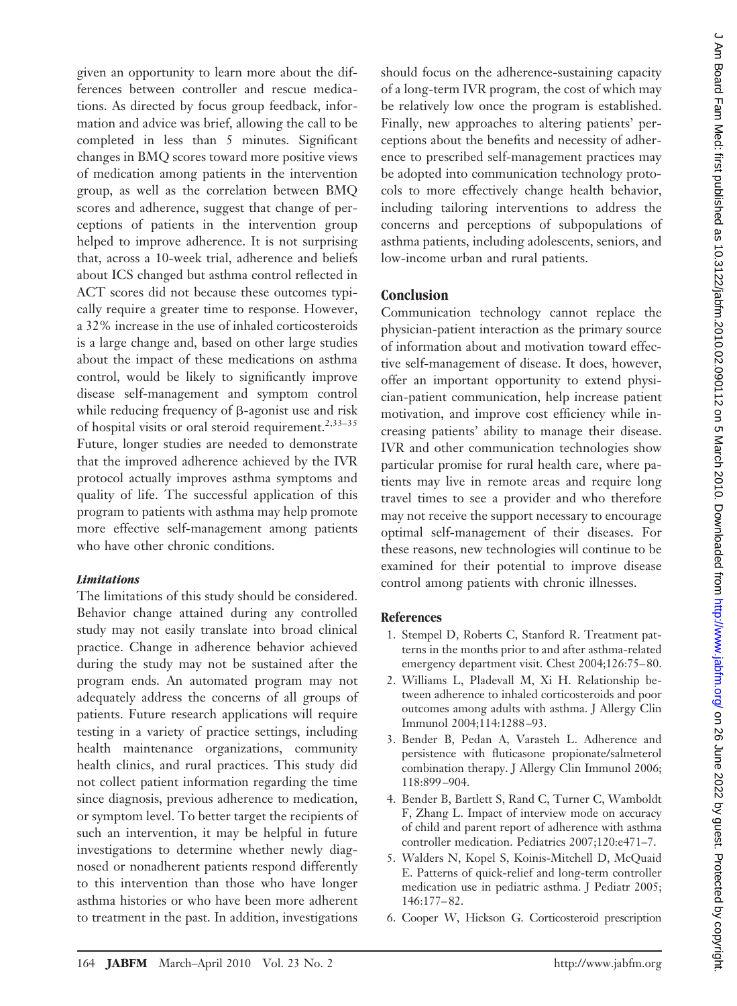given an opportunity to learn more about the differences between controller and rescue medications. As directed by focus group feedback, information and advice was brief, allowing the call to be completed in less than 5 minutes. Significant changes in BMQ scores toward more positive views of medication among patients in the intervention group, as well as the correlation between BMQ scores and adherence, suggest that change of perceptions of patients in the intervention group helped to improve adherence. It is not surprising that, across a 10-week trial, adherence and beliefs about ICS changed but asthma control reflected in ACT scores did not because these outcomes typically require a greater time to response. However, a 32% increase in the use of inhaled corticosteroids is a large change and, based on other large studies about the impact of these medications on asthma control, would be likely to significantly improve disease self-management and symptom control while reducing frequency of  $\beta$ -agonist use and risk of hospital visits or oral steroid requirement.<sup>2,33–35</sup> Future, longer studies are needed to demonstrate that the improved adherence achieved by the IVR protocol actually improves asthma symptoms and quality of life. The successful application of this program to patients with asthma may help promote more effective self-management among patients who have other chronic conditions.

### *Limitations*

The limitations of this study should be considered. Behavior change attained during any controlled study may not easily translate into broad clinical practice. Change in adherence behavior achieved during the study may not be sustained after the program ends. An automated program may not adequately address the concerns of all groups of patients. Future research applications will require testing in a variety of practice settings, including health maintenance organizations, community health clinics, and rural practices. This study did not collect patient information regarding the time since diagnosis, previous adherence to medication, or symptom level. To better target the recipients of such an intervention, it may be helpful in future investigations to determine whether newly diagnosed or nonadherent patients respond differently to this intervention than those who have longer asthma histories or who have been more adherent to treatment in the past. In addition, investigations

should focus on the adherence-sustaining capacity of a long-term IVR program, the cost of which may be relatively low once the program is established. Finally, new approaches to altering patients' perceptions about the benefits and necessity of adherence to prescribed self-management practices may be adopted into communication technology protocols to more effectively change health behavior, including tailoring interventions to address the concerns and perceptions of subpopulations of asthma patients, including adolescents, seniors, and low-income urban and rural patients.

### **Conclusion**

Communication technology cannot replace the physician-patient interaction as the primary source of information about and motivation toward effective self-management of disease. It does, however, offer an important opportunity to extend physician-patient communication, help increase patient motivation, and improve cost efficiency while increasing patients' ability to manage their disease. IVR and other communication technologies show particular promise for rural health care, where patients may live in remote areas and require long travel times to see a provider and who therefore may not receive the support necessary to encourage optimal self-management of their diseases. For these reasons, new technologies will continue to be examined for their potential to improve disease control among patients with chronic illnesses.

### **References**

- 1. Stempel D, Roberts C, Stanford R. Treatment patterns in the months prior to and after asthma-related emergency department visit. Chest 2004;126:75– 80.
- 2. Williams L, Pladevall M, Xi H. Relationship between adherence to inhaled corticosteroids and poor outcomes among adults with asthma. J Allergy Clin Immunol 2004;114:1288 –93.
- 3. Bender B, Pedan A, Varasteh L. Adherence and persistence with fluticasone propionate/salmeterol combination therapy. J Allergy Clin Immunol 2006; 118:899 –904.
- 4. Bender B, Bartlett S, Rand C, Turner C, Wamboldt F, Zhang L. Impact of interview mode on accuracy of child and parent report of adherence with asthma controller medication. Pediatrics 2007;120:e471–7.
- 5. Walders N, Kopel S, Koinis-Mitchell D, McQuaid E. Patterns of quick-relief and long-term controller medication use in pediatric asthma. J Pediatr 2005; 146:177– 82.
- 6. Cooper W, Hickson G. Corticosteroid prescription